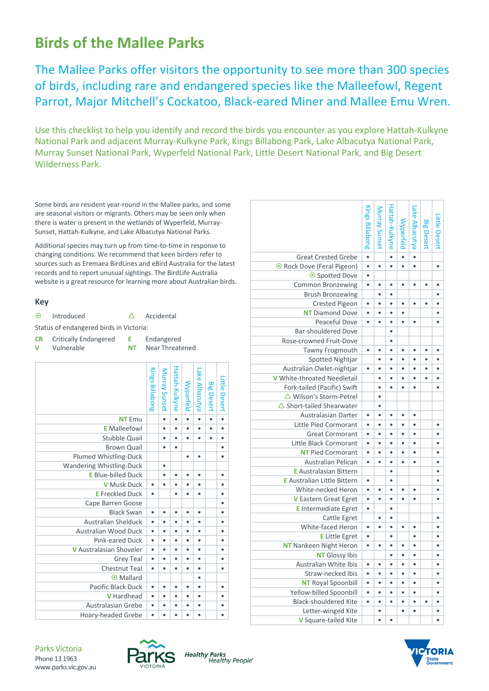# **Birds of the Mallee Parks**

The Mallee Parks offer visitors the opportunity to see more than 300 species of birds, including rare and endangered species like the Malleefowl, Regent Parrot, Major Mitchell's Cockatoo, Black‐eared Miner and Mallee Emu Wren.

Use this checklist to help you identify and record the birds you encounter as you explore Hattah‐Kulkyne National Park and adjacent Murray‐Kulkyne Park, Kings Billabong Park, Lake Albacutya National Park, Murray Sunset National Park, Wyperfeld National Park, Little Desert National Park, and Big Desert Wilderness Park.

Some birds are resident year‐round in the Mallee parks, and some are seasonal visitors or migrants. Others may be seen only when there is water is present in the wetlands of Wyperfeld, Murray‐ Sunset, Hattah‐Kulkyne, and Lake Albacutya National Parks.

Additional species may turn up from time‐to‐time in response to changing conditions. We recommend that keen birders refer to sources such as Eremaea BirdLines and eBird Australia for the latest records and to report unusual sightings. The BirdLife Australia website is a great resource for learning more about Australian birds.

#### **Key**

| $\odot$                                 | Introduced            |     | Accidental      |  |  |  |  |  |  |  |
|-----------------------------------------|-----------------------|-----|-----------------|--|--|--|--|--|--|--|
| Status of endangered birds in Victoria: |                       |     |                 |  |  |  |  |  |  |  |
| CR.                                     | Critically Endangered | E.  | Endangered      |  |  |  |  |  |  |  |
| v                                       | Vulnerable            | NT. | Near Threatened |  |  |  |  |  |  |  |
|                                         |                       |     |                 |  |  |  |  |  |  |  |

|                                | Kings Billabong | Murray Sunset | Hattah-Kulkyne | Wyperfeld | Lake Albacutya | <b>Big Desert</b> | Little Desert |
|--------------------------------|-----------------|---------------|----------------|-----------|----------------|-------------------|---------------|
| <b>NT</b> Emu                  |                 | $\bullet$     | $\bullet$      | $\bullet$ | $\bullet$      | $\bullet$         | $\bullet$     |
| <b>E</b> Malleefowl            |                 | $\bullet$     | ٠              | $\bullet$ | $\bullet$      | $\bullet$         | ٠             |
| <b>Stubble Quail</b>           |                 | $\bullet$     |                | $\bullet$ | $\bullet$      | ٠                 |               |
| <b>Brown Quail</b>             |                 | ٠             |                |           |                |                   |               |
| Plumed Whistling-Duck          |                 |               |                | $\bullet$ | $\bullet$      |                   |               |
| Wandering Whistling-Duck       |                 | $\bullet$     |                |           |                |                   |               |
| <b>E</b> Blue-billed Duck      |                 | $\bullet$     |                | ٠         | ٠              |                   |               |
| <b>V</b> Musk Duck             | $\bullet$       | ٠             |                | ٠         | ٠              |                   |               |
| <b>E</b> Freckled Duck         | $\bullet$       |               | ٠              | $\bullet$ | $\bullet$      |                   |               |
| Cape Barren Goose              |                 |               |                |           |                |                   |               |
| <b>Black Swan</b>              | $\bullet$       | ٠             |                | ٠         | ٠              |                   |               |
| <b>Australian Shelduck</b>     | ٠               | $\bullet$     | ٠              | $\bullet$ | $\bullet$      |                   | ٠             |
| Australian Wood Duck           | $\bullet$       | ٠             | ٠              | $\bullet$ | ٠              |                   | ٠             |
| Pink-eared Duck                | $\bullet$       | ٠             | ٠              | $\bullet$ | $\bullet$      |                   |               |
| <b>V</b> Australasian Shoveler | ٠               | $\bullet$     | ٠              | $\bullet$ | $\bullet$      |                   | ٠             |
| <b>Grey Teal</b>               | $\bullet$       | ٠             | ٠              | $\bullet$ | ٠              |                   |               |
| <b>Chestnut Teal</b>           | $\bullet$       | $\bullet$     | ٠              | $\bullet$ | $\bullet$      |                   |               |
| Mallard<br>⊙                   |                 |               |                |           | $\bullet$      |                   |               |
| Pacific Black Duck             | ٠               | ٠             |                | ٠         | ٠              |                   |               |
| V Hardhead                     | $\bullet$       | $\bullet$     | ٠              | $\bullet$ | $\bullet$      |                   |               |
| <b>Australasian Grebe</b>      | $\bullet$       | ٠             | ٠              | ٠         | ٠              |                   |               |
| <b>Hoary-headed Grebe</b>      | $\bullet$       |               |                |           | ٠              |                   |               |

|                                     | Kings Billabong | Murray Sunset | Hattah-Kulkyne | Wyperfeld | Lake Albacutya | <b>Big Desert</b> | Little Desert |
|-------------------------------------|-----------------|---------------|----------------|-----------|----------------|-------------------|---------------|
| <b>Great Crested Grebe</b>          | $\bullet$       |               | $\bullet$      | $\bullet$ | $\bullet$      |                   |               |
| ⊙ Rock Dove (Feral Pigeon)          | $\bullet$       | $\bullet$     |                |           | $\bullet$      |                   |               |
| ⊙ Spotted Dove                      | $\bullet$       |               |                |           |                |                   |               |
| <b>Common Bronzewing</b>            | $\bullet$       | $\bullet$     | $\bullet$      | $\bullet$ | $\bullet$      | $\bullet$         | ٠             |
| <b>Brush Bronzewing</b>             |                 | $\bullet$     | ٠              |           |                |                   | ٠             |
| <b>Crested Pigeon</b>               | $\bullet$       | $\bullet$     | $\bullet$      | $\bullet$ | $\bullet$      | $\bullet$         | ٠             |
| <b>NT</b> Diamond Dove              | $\bullet$       | $\bullet$     | ٠              | $\bullet$ |                |                   |               |
| Peaceful Dove                       | $\bullet$       | $\bullet$     | $\bullet$      | $\bullet$ | $\bullet$      |                   |               |
| Bar-shouldered Dove                 |                 |               | ٠              |           |                |                   |               |
| Rose-crowned Fruit-Dove             |                 |               | ٠              |           |                |                   |               |
| Tawny Frogmouth                     | $\bullet$       | $\bullet$     | $\bullet$      | $\bullet$ | $\bullet$      | $\bullet$         | $\bullet$     |
| <b>Spotted Nightjar</b>             |                 | ٠             | $\bullet$      | ٠         | ٠              | ٠                 |               |
| Australian Owlet-nightjar           |                 | $\bullet$     |                |           |                |                   |               |
| V White-throated Needletail         |                 | $\bullet$     | ٠              | ٠         | ٠              | $\bullet$         | ٠             |
| Fork-tailed (Pacific) Swift         |                 | $\bullet$     |                |           |                |                   |               |
| △ Wilson's Storm-Petrel             |                 | $\bullet$     |                |           |                |                   |               |
| $\triangle$ Short-tailed Shearwater |                 | $\bullet$     |                |           |                |                   |               |
| <b>Australasian Darter</b>          | $\bullet$       | $\bullet$     | $\bullet$      | $\bullet$ | $\bullet$      |                   |               |
| <b>Little Pied Cormorant</b>        | $\bullet$       | $\bullet$     | $\bullet$      | $\bullet$ | $\bullet$      |                   | ٠             |
| <b>Great Cormorant</b>              | $\bullet$       | $\bullet$     | $\bullet$      |           | $\bullet$      |                   |               |
| Little Black Cormorant              | $\bullet$       | ٠             | ٠              | ٠         | $\bullet$      |                   | ٠             |
| <b>NT Pied Cormorant</b>            | $\bullet$       | $\bullet$     | $\bullet$      | $\bullet$ | $\bullet$      |                   |               |
| Australian Pelican                  | $\bullet$       | $\bullet$     | $\bullet$      | ٠         | $\bullet$      |                   | ٠             |
| <b>E</b> Australasian Bittern       |                 |               | $\bullet$      |           |                |                   |               |
| <b>E</b> Australian Little Bittern  | $\bullet$       |               | $\bullet$      |           |                |                   | ٠             |
| White-necked Heron                  | $\bullet$       | $\bullet$     | $\bullet$      |           | $\bullet$      |                   |               |
| V Eastern Great Egret               | $\bullet$       | $\bullet$     | $\bullet$      |           | ٠              |                   |               |
| <b>E</b> Intermediate Egret         | $\bullet$       |               | $\bullet$      |           |                |                   |               |
| Cattle Egret                        |                 | ٠             | $\bullet$      |           |                |                   |               |
| White-faced Heron                   | $\bullet$       | $\bullet$     | ٠              | $\bullet$ | $\bullet$      |                   |               |
| <b>E</b> Little Egret               | $\bullet$       |               | $\bullet$      |           | $\bullet$      |                   |               |
| <b>NT</b> Nankeen Night Heron       | $\bullet$       | $\bullet$     | $\bullet$      | $\bullet$ | $\bullet$      |                   | ٠             |
| <b>NT</b> Glossy Ibis               |                 |               | $\bullet$      | $\bullet$ | $\bullet$      |                   |               |
| Australian White Ibis               | $\bullet$       | ٠             | $\bullet$      | ٠         | ٠              |                   | ٠             |
| Straw-necked Ibis                   | $\bullet$       | $\bullet$     |                | $\bullet$ | $\bullet$      |                   | ٠             |
| <b>NT</b> Royal Spoonbill           | $\bullet$       | $\bullet$     | $\bullet$      | $\bullet$ | $\bullet$      |                   | ٠             |
| Yellow-billed Spoonbill             | $\bullet$       | $\bullet$     | $\bullet$      | ٠         | $\bullet$      |                   | ٠             |
| <b>Black-shouldered Kite</b>        | $\bullet$       | $\bullet$     |                | $\bullet$ | $\bullet$      |                   |               |
| Letter-winged Kite                  |                 | $\bullet$     |                | $\bullet$ | $\bullet$      |                   | ٠             |
| V Square-tailed Kite                |                 |               |                |           |                |                   |               |
|                                     |                 |               |                |           |                |                   |               |



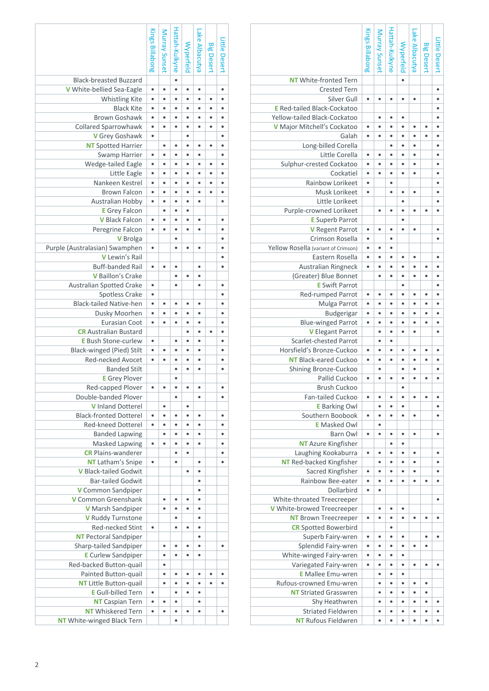|                                                                    | Kings Billabong | Murray Sunset | Hattah-Kulkyne | Wyperfeld | Lake Albacutya | <b>Big Desert</b> | Little Desert |
|--------------------------------------------------------------------|-----------------|---------------|----------------|-----------|----------------|-------------------|---------------|
|                                                                    |                 |               |                |           |                |                   |               |
| <b>NT</b> White-fronted Tern                                       |                 |               |                | $\bullet$ |                |                   |               |
| <b>Crested Tern</b>                                                |                 |               |                |           |                |                   | ۰             |
| Silver Gull                                                        | $\bullet$       |               | $\bullet$      | $\bullet$ | ٠              |                   | ٠             |
| <b>E</b> Red-tailed Black-Cockatoo<br>Yellow-tailed Black-Cockatoo |                 |               | ٠              | $\bullet$ |                |                   |               |
| V Major Mitchell's Cockatoo                                        | ۰               |               | ċ              | ¢         | ٠              |                   |               |
| Galah                                                              | ٠               |               | ċ              | ¢         |                |                   |               |
| Long-billed Corella                                                |                 |               |                |           |                |                   |               |
| Little Corella                                                     | ۰               | $\bullet$     | ٠              | $\bullet$ | $\bullet$      |                   | ٠             |
| Sulphur-crested Cockatoo                                           | $\bullet$       | $\bullet$     | ٠              | $\bullet$ | $\bullet$      |                   | $\bullet$     |
| Cockatiel                                                          | $\bullet$       | $\bullet$     | $\bullet$      | ٠         | $\bullet$      |                   | $\bullet$     |
| Rainbow Lorikeet                                                   | $\bullet$       |               | $\bullet$      |           |                |                   | $\bullet$     |
| Musk Lorikeet                                                      | ٠               |               | $\bullet$      | ٠         | ٠              |                   | ٠             |
| Little Lorikeet                                                    |                 |               |                | ٠         |                |                   | ٠             |
| Purple-crowned Lorikeet                                            |                 |               |                |           |                |                   |               |
| <b>E</b> Superb Parrot                                             |                 |               |                | ٠         |                |                   |               |
| V Regent Parrot                                                    |                 |               |                |           |                |                   |               |
| Crimson Rosella                                                    | ٠               |               | $\bullet$      |           |                |                   | ٠             |
| Yellow Rosella (variant of Crimson)                                | $\bullet$       | $\bullet$     | $\bullet$      |           |                |                   |               |
| Eastern Rosella                                                    | ٠               | $\bullet$     | $\bullet$      | ٠         | $\bullet$      |                   | $\bullet$     |
| Australian Ringneck                                                | $\bullet$       | ٠             | ٠              | $\bullet$ | ٠              | ٠                 | $\bullet$     |
| (Greater) Blue Bonnet                                              |                 |               |                |           |                |                   |               |
| <b>E</b> Swift Parrot                                              |                 |               |                |           |                |                   |               |
| Red-rumped Parrot                                                  |                 |               |                |           |                |                   |               |
| Mulga Parrot                                                       | ۰               |               | ¢              |           |                |                   |               |
| Budgerigar                                                         |                 |               | $\bullet$      | ۰         |                |                   |               |
| <b>Blue-winged Parrot</b>                                          | ۰               | ٠             | ٠              | ٠         |                |                   | ٠             |
| V Elegant Parrot                                                   |                 | $\bullet$     | $\bullet$      | $\bullet$ | $\bullet$      |                   | $\bullet$     |
| <b>Scarlet-chested Parrot</b>                                      |                 | $\bullet$     | $\bullet$      |           |                |                   |               |
| Horsfield's Bronze-Cuckoo                                          | $\bullet$       | $\bullet$     | $\bullet$      | $\bullet$ | ٠              | $\bullet$         | ٠             |
| <b>NT</b> Black-eared Cuckoo                                       | ٠               |               |                | ¢         |                |                   |               |
| Shining Bronze-Cuckoo                                              |                 |               |                | ۰         |                |                   |               |
| Pallid Cuckoo<br><b>Brush Cuckoo</b>                               | $\bullet$       |               |                |           |                |                   |               |
| Fan-tailed Cuckoo                                                  | $\bullet$       |               | ٠              | ٠         |                |                   | ٠             |
| <b>E</b> Barking Owl                                               |                 |               | ٠              | $\bullet$ |                |                   |               |
| Southern Boobook                                                   | $\bullet$       | $\bullet$     | $\bullet$      | ٠         | $\bullet$      |                   | $\bullet$     |
| <b>E</b> Masked Owl                                                |                 | $\bullet$     |                |           |                |                   |               |
| <b>Barn Owl</b>                                                    | $\bullet$       | $\bullet$     | ٠              | ٠         | ٠              |                   | ٠             |
| <b>NT</b> Azure Kingfisher                                         |                 |               | $\bullet$      | ٠         |                |                   |               |
| Laughing Kookaburra                                                | ٠               | ٠             | ۰              | ٠         | ٠              |                   | ۰             |
| <b>NT</b> Red-backed Kingfisher                                    |                 | $\bullet$     | $\bullet$      | $\bullet$ | $\bullet$      |                   | $\bullet$     |
| Sacred Kingfisher                                                  | $\bullet$       |               | $\bullet$      | $\bullet$ |                |                   |               |
| Rainbow Bee-eater                                                  | $\bullet$       | ٠             | $\bullet$      | $\bullet$ | ٠              |                   | ٠             |
| Dollarbird                                                         | $\bullet$       |               |                |           |                |                   |               |
| White-throated Treecreeper                                         |                 |               |                |           |                |                   | ۰             |
| V White-browed Treecreeper                                         |                 | $\bullet$     | $\bullet$      | $\bullet$ |                |                   |               |
| <b>NT</b> Brown Treecreeper                                        | ٠               | ۰             | ۰              | ٠         | ٠              | ٠                 | ٠             |
| <b>CR</b> Spotted Bowerbird                                        |                 |               | $\bullet$      |           |                |                   |               |
| Superb Fairy-wren                                                  | ۰               | ٠             | ۰              | ٠         |                | $\bullet$         | ٠             |
| Splendid Fairy-wren                                                | ۰               | ٠             | ٠              | ٠         | $\bullet$      | ٠                 |               |
| White-winged Fairy-wren                                            |                 |               | ٠              | ٠         |                |                   |               |
| Variegated Fairy-wren                                              | ۰               | ٠             | ٠              | ٠         | ٠              | ٠                 | ٠             |
| <b>E</b> Mallee Emu-wren                                           |                 | ٠             | $\bullet$      | $\bullet$ |                |                   |               |
| Rufous-crowned Emu-wren                                            |                 | $\bullet$     | $\bullet$      | ٠         | ٠              | ٠                 |               |
| <b>NT Striated Grasswren</b>                                       |                 | $\bullet$     | $\bullet$      | $\bullet$ | $\bullet$      | $\bullet$         |               |
| Shy Heathwren                                                      |                 | $\bullet$     | $\bullet$      | $\bullet$ | $\bullet$      | $\bullet$         | ٠             |
| <b>Striated Fieldwren</b><br><b>NT</b> Rufous Fieldwren            |                 | ۰             | $\bullet$<br>٠ | ٠         | ٠              | $\bullet$<br>٠    | ٠             |
|                                                                    |                 |               |                | $\bullet$ |                |                   | ٠             |

|                                       | Kings Billabong | Murray Sunset | Hattah-Kulkyne         | Wyperfeld | Lake Albacutya         | <b>Big Desert</b> | Little Desert |
|---------------------------------------|-----------------|---------------|------------------------|-----------|------------------------|-------------------|---------------|
|                                       |                 |               |                        |           |                        |                   |               |
| <b>Black-breasted Buzzard</b>         |                 |               | $\bullet$              |           |                        |                   |               |
| V White-bellied Sea-Eagle             | $\bullet$       | $\bullet$     | $\bullet$              | $\bullet$ | $\bullet$              |                   | $\bullet$     |
|                                       | $\bullet$       |               | ٠                      | $\bullet$ | $\bullet$              |                   | $\bullet$     |
| <b>Whistling Kite</b>                 |                 | $\bullet$     |                        |           |                        | $\bullet$         |               |
| <b>Black Kite</b>                     | $\bullet$       | ۰             | ۰                      | ٠         | $\bullet$              | ٠                 | ٠             |
| <b>Brown Goshawk</b>                  | $\bullet$       | ٠             |                        |           |                        |                   |               |
| <b>Collared Sparrowhawk</b>           | ٠               | ٠             | ٠                      |           |                        |                   |               |
| V Grey Goshawk                        | $\bullet$       |               |                        |           |                        |                   |               |
| <b>NT</b> Spotted Harrier             |                 | ٠             | ۰                      | ٠         | ٠                      | ٠                 |               |
| Swamp Harrier                         | ٠               | ٠             | ٠                      |           | ٠                      |                   | $\bullet$     |
| Wedge-tailed Eagle                    | ۰               | ۰             | ٠                      | ٠         | ٠                      | $\bullet$         | $\bullet$     |
| Little Eagle                          | $\bullet$       | $\bullet$     | $\bullet$              | $\bullet$ | $\bullet$              | $\bullet$         | $\bullet$     |
| Nankeen Kestrel                       | $\bullet$       | $\bullet$     | ٠                      | $\bullet$ | ٠                      | ٠                 | $\bullet$     |
| <b>Brown Falcon</b>                   | $\bullet$       | $\bullet$     | ۰                      | $\bullet$ | $\bullet$              | ٠                 | $\bullet$     |
| <b>Australian Hobby</b>               | $\bullet$       | ٠             | ۰                      | $\bullet$ | $\bullet$              |                   | $\bullet$     |
| <b>E</b> Grey Falcon                  |                 | ۰             | ٠                      |           |                        |                   |               |
| <b>V</b> Black Falcon                 | $\bullet$       | $\bullet$     | $\bullet$              |           | ٠                      |                   | $\bullet$     |
| Peregrine Falcon                      | $\bullet$       | $\bullet$     | ٠                      | $\bullet$ | $\bullet$              |                   | ۰             |
| <b>V</b> Brolga                       |                 |               | ٠                      |           |                        |                   | ٠             |
| Purple (Australasian) Swamphen        | ۰               |               | ٠                      |           |                        |                   |               |
| V Lewin's Rail                        |                 |               |                        |           |                        |                   | ٠             |
| <b>Buff-banded Rail</b>               | $\bullet$       | $\bullet$     | ٠                      |           | $\bullet$              |                   | $\bullet$     |
| V Baillon's Crake                     |                 |               | ٠                      | $\bullet$ | ۰                      |                   |               |
| Australian Spotted Crake              | $\bullet$       |               | $\bullet$              |           | $\bullet$              |                   | ٠             |
| <b>Spotless Crake</b>                 | ۰               |               |                        |           |                        |                   |               |
| <b>Black-tailed Native-hen</b>        | $\bullet$       | ٠             | ٠                      |           | ٠                      |                   |               |
| Dusky Moorhen                         | ٠               |               |                        |           |                        |                   |               |
| <b>Eurasian Coot</b>                  | ۰               |               |                        |           | $\bullet$              |                   | ٠             |
| <b>CR</b> Australian Bustard          |                 |               |                        |           |                        |                   |               |
| <b>E</b> Bush Stone-curlew            | $\bullet$       |               | ۰                      | $\bullet$ | ٠                      |                   | $\bullet$     |
| Black-winged (Pied) Stilt             | $\bullet$       | $\bullet$     | $\bullet$              | $\bullet$ | $\bullet$              |                   | $\bullet$     |
| Red-necked Avocet                     | $\bullet$       | $\bullet$     | ۰                      | $\bullet$ | $\bullet$              |                   | $\bullet$     |
| <b>Banded Stilt</b>                   |                 |               | ۰                      | $\bullet$ | $\bullet$              |                   | $\bullet$     |
| <b>E</b> Grey Plover                  |                 |               | ٠                      |           |                        |                   |               |
| Red-capped Plover                     |                 |               |                        |           |                        |                   | ٠             |
| Double-banded Plover                  |                 |               | $\bullet$              |           | $\bullet$              |                   | $\bullet$     |
| <b>V</b> Inland Dotterel              |                 | ۰             |                        | $\bullet$ |                        |                   |               |
| <b>Black-fronted Dotterel</b>         | $\bullet$       | $\bullet$     | $\bullet$              |           | $\bullet$              |                   | ٠             |
| <b>Red-kneed Dotterel</b>             | $\bullet$       | $\bullet$     | ۰                      | ۰         | $\bullet$              |                   | ٠             |
| <b>Banded Lapwing</b>                 |                 | $\bullet$     | $\bullet$              | $\bullet$ | $\bullet$              |                   | $\bullet$     |
| Masked Lapwing                        | $\bullet$       | $\bullet$     | $\bullet$              | $\bullet$ | $\bullet$              |                   | $\bullet$     |
| <b>CR</b> Plains-wanderer             |                 |               | ٠                      | ٠         |                        |                   | ٠             |
| <b>NT</b> Latham's Snipe              | $\bullet$       |               | $\bullet$              |           | ۰                      |                   |               |
| <b>V</b> Black-tailed Godwit          |                 |               |                        | ٠         | ۰                      |                   |               |
| <b>Bar-tailed Godwit</b>              |                 |               |                        |           | $\bullet$              |                   |               |
| V Common Sandpiper                    |                 |               |                        |           | $\bullet$              |                   |               |
| V Common Greenshank                   |                 | ٠             | $\bullet$              |           | $\bullet$              |                   |               |
|                                       |                 |               |                        |           |                        |                   |               |
| V Marsh Sandpiper                     |                 |               | $\bullet$<br>$\bullet$ |           | $\bullet$<br>$\bullet$ |                   |               |
| V Ruddy Turnstone<br>Red-necked Stint | $\bullet$       |               |                        | $\bullet$ | $\bullet$              |                   |               |
|                                       |                 |               | ۰                      |           |                        |                   |               |
| <b>NT</b> Pectoral Sandpiper          |                 |               |                        |           | ۰                      |                   |               |
| Sharp-tailed Sandpiper                |                 | ٠             | ۰                      | ٠         | $\bullet$              |                   | ٠             |
| <b>E</b> Curlew Sandpiper             |                 | ٠             | ۰                      |           | ۰                      |                   |               |
| Red-backed Button-quail               |                 | ٠             |                        |           |                        |                   |               |
| Painted Button-quail                  |                 | ٠             | $\bullet$              | ٠         | ٠                      | ٠                 | $\bullet$     |
| <b>NT</b> Little Button-quail         |                 | ٠             | ٠                      |           | ٠                      |                   |               |
| <b>E</b> Gull-billed Tern             | $\bullet$       |               |                        |           |                        |                   |               |
| <b>NT Caspian Tern</b>                | $\bullet$       | $\bullet$     | $\bullet$              |           | $\bullet$              |                   |               |
| <b>NT</b> Whiskered Tern              | $\bullet$       | $\bullet$     | $\bullet$              | $\bullet$ | $\bullet$              |                   | $\bullet$     |
| <b>NT</b> White-winged Black Tern     |                 |               | $\bullet$              |           |                        |                   |               |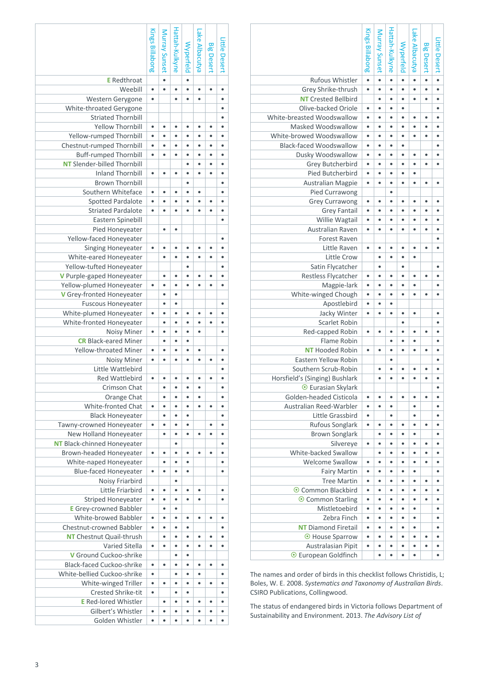|                                | <b>Kings Billabong</b> | Murray Sunset | Hattah-Kulkyne | Wyperfeld | Lake Albacutya | <b>Big Desert</b> | ittle Desert |
|--------------------------------|------------------------|---------------|----------------|-----------|----------------|-------------------|--------------|
| Rufous Whistler                | $\bullet$              | $\bullet$     | $\bullet$      |           | $\bullet$      | $\bullet$         | $\bullet$    |
| Grey Shrike-thrush             | $\bullet$              | ٠             |                |           |                |                   |              |
| <b>NT Crested Bellbird</b>     |                        | ٠             | ٠              |           | ٠              | ¢                 |              |
| Olive-backed Oriole            | ٠                      | ٠             | ٠              |           |                |                   |              |
| White-breasted Woodswallow     | $\bullet$              | ٠             | ٠              | $\bullet$ | $\bullet$      | ۰                 | $\bullet$    |
| Masked Woodswallow             | $\bullet$              | $\bullet$     | $\bullet$      | $\bullet$ | $\bullet$      | $\bullet$         | $\bullet$    |
| White-browed Woodswallow       | $\bullet$              | $\bullet$     | $\bullet$      | $\bullet$ | $\bullet$      | $\bullet$         | $\bullet$    |
| <b>Black-faced Woodswallow</b> | $\bullet$              | $\bullet$     | ٠              | ٠         |                |                   | $\bullet$    |
| Dusky Woodswallow              | ٠                      | ٠             | ٠              |           | $\bullet$      | ۰                 |              |
| Grey Butcherbird               | ٠                      | ٠             | ٠              |           |                | ٠                 | ٠            |
| <b>Pied Butcherbird</b>        | $\bullet$              | ċ             | ٠              |           |                |                   |              |
| <b>Australian Magpie</b>       | ٠                      | ٠             | ٠              | $\bullet$ | ٠              | ٠                 | $\bullet$    |
| Pied Currawong                 |                        |               | ٠              |           |                |                   |              |
| <b>Grey Currawong</b>          | ٠                      | ٠             | ٠              | $\bullet$ |                | ٠                 |              |
| <b>Grey Fantail</b>            | $\bullet$              | $\bullet$     | ٠              | $\bullet$ | ٠              | $\bullet$         | ٠            |
| Willie Wagtail                 | $\bullet$              | ٠             | ٠              | $\bullet$ | $\bullet$      | $\bullet$         | ٠            |
| Australian Raven               | $\bullet$              | ۰             | ٠              | $\bullet$ | $\bullet$      | ٠                 | ٠            |
|                                |                        |               |                |           |                |                   |              |
| Forest Raven                   |                        |               |                |           |                |                   |              |
| Little Raven                   | ۰                      | ٠<br>٠        | ٠              |           | ٠              | ٠                 | ٠            |
| <b>Little Crow</b>             |                        |               | ٠              |           |                |                   |              |
| Satin Flycatcher               |                        | ٠             |                |           |                |                   | ٠            |
| Restless Flycatcher            | ۰                      | ٠             | ٠              |           | ٠              | c                 |              |
| Magpie-lark                    |                        | ٠             | ٠              |           |                |                   |              |
| White-winged Chough            | $\bullet$              | $\bullet$     | ۰              | ٠         | ٠              | $\bullet$         | ٠            |
| Apostlebird                    | $\bullet$              | $\bullet$     | $\bullet$      |           |                |                   |              |
| Jacky Winter                   | $\bullet$              | $\bullet$     | ٠              | $\bullet$ | ٠              |                   | ٠            |
| Scarlet Robin                  |                        |               |                | $\bullet$ |                |                   | $\bullet$    |
| Red-capped Robin               | ۰                      | ٠             | ٠              | ٠         | $\bullet$      | ٠                 | ٠            |
| Flame Robin                    |                        |               | ٠              |           | ٠              |                   | ٠            |
| <b>NT</b> Hooded Robin         | ٠                      |               |                |           |                | ¢                 |              |
| <b>Eastern Yellow Robin</b>    |                        |               | ٠              |           |                |                   | ٠            |
| Southern Scrub-Robin           |                        |               | ٠              |           |                | ۰                 |              |
| Horsfield's (Singing) Bushlark |                        | $\bullet$     | ٠              | $\bullet$ | ٠              | ٠                 |              |
| ⊙ Eurasian Skylark             |                        |               |                |           |                |                   | $\bullet$    |
| Golden-headed Cisticola        | ۰                      | ٠             | $\bullet$      | ٠         | $\bullet$      | ٠                 | ٠            |
| Australian Reed-Warbler        | $\bullet$              | $\bullet$     | ۰              |           | ۰              |                   | ٠            |
| Little Grassbird               | ٠                      |               | ٠              |           | ٠              |                   | ٠            |
| <b>Rufous Songlark</b>         | $\bullet$              | ٠             | ٠              | ٠         | $\bullet$      | ٠                 | ٠            |
| <b>Brown Songlark</b>          |                        | ٠             | ٠              |           | $\bullet$      |                   |              |
| Silvereye                      | ۰                      | ٠             | ٠              | $\bullet$ | ٠              | ٠                 | ٠            |
| White-backed Swallow           |                        | $\bullet$     | ٠              | $\bullet$ | $\bullet$      | $\bullet$         | ٠            |
| <b>Welcome Swallow</b>         | ٠                      | ۰             | ۰              | ۰         | $\bullet$      | ٠                 | ٠            |
| <b>Fairy Martin</b>            | $\bullet$              | $\bullet$     | ٠              | $\bullet$ | $\bullet$      |                   | $\bullet$    |
| <b>Tree Martin</b>             | $\bullet$              | $\bullet$     | ٠              | $\bullet$ | $\bullet$      | $\bullet$         | $\bullet$    |
| ⊙ Common Blackbird             | $\bullet$              | ۰             | $\bullet$      | ۰         | $\bullet$      | ٠                 | ٠            |
| ⊙ Common Starling              | ۰                      | ۰             | ٠              |           | $\bullet$      | ٠                 |              |
| Mistletoebird                  | ۰                      | ٠             | ٠              |           | ٠              |                   |              |
| Zebra Finch                    | $\bullet$              | $\bullet$     | ٠              |           | $\bullet$      |                   |              |
| <b>NT</b> Diamond Firetail     | $\bullet$              | ٠             | $\bullet$      | $\bullet$ | $\bullet$      |                   | ٠            |
| ⊙ House Sparrow                | $\bullet$              | ٠             | ٠              | $\bullet$ | $\bullet$      | $\bullet$         | ٠            |
| Australasian Pipit             |                        | $\bullet$     | ٠              | $\bullet$ | $\bullet$      | ٠                 | ٠            |
| ⊙ European Goldfinch           |                        | $\bullet$     | ٠              | $\bullet$ | $\bullet$      |                   | $\bullet$    |

| The names and order of birds in this checklist follows Christidis, L; |
|-----------------------------------------------------------------------|
| Boles, W. E. 2008. Systematics and Taxonomy of Australian Birds.      |
| CSIRO Publications, Collingwood.                                      |

The status of endangered birds in Victoria follows Department of Sustainability and Environment. 2013. *The Advisory List of*

|                                    | <b>Kings Billabong</b> | Murray Sunset | Hattah-Kulkyne |           | Lake Albacutya |                   |               |  |
|------------------------------------|------------------------|---------------|----------------|-----------|----------------|-------------------|---------------|--|
|                                    |                        |               |                |           |                |                   |               |  |
|                                    |                        |               |                |           |                |                   |               |  |
|                                    |                        |               |                |           |                |                   |               |  |
|                                    |                        |               |                | Wyperfeld |                | <b>Big Desert</b> | Little Desert |  |
|                                    |                        |               |                |           |                |                   |               |  |
| <b>E</b> Redthroat                 |                        | $\bullet$     |                | $\bullet$ |                |                   |               |  |
| Weebill                            | $\bullet$              | $\bullet$     | $\bullet$      | $\bullet$ | $\bullet$      | ٠                 | $\bullet$     |  |
| Western Gerygone                   | $\bullet$              |               |                | $\bullet$ |                |                   |               |  |
|                                    |                        |               |                |           |                |                   |               |  |
| White-throated Gerygone            |                        |               |                |           |                |                   |               |  |
| <b>Striated Thornbill</b>          |                        |               |                |           |                |                   |               |  |
| <b>Yellow Thornbill</b>            | $\bullet$              | ٠             | ٠              | ۰         | ٠              | ٠                 | ٠             |  |
| Yellow-rumped Thornbill            |                        | $\bullet$     | $\bullet$      | ٠         |                | ٠                 |               |  |
| Chestnut-rumped Thornbill          | $\bullet$              | $\bullet$     | $\bullet$      | $\bullet$ | $\bullet$      | ٠                 | $\bullet$     |  |
|                                    |                        |               |                |           |                |                   |               |  |
| <b>Buff-rumped Thornbill</b>       | $\bullet$              | $\bullet$     | $\bullet$      | $\bullet$ | ٠              | $\bullet$         | $\bullet$     |  |
| <b>NT</b> Slender-billed Thornbill |                        |               |                | ۰         | $\bullet$      | $\bullet$         | $\bullet$     |  |
| <b>Inland Thornbill</b>            | $\bullet$              | $\bullet$     | ٠              | ٠         | $\bullet$      | ٠                 | ٠             |  |
| <b>Brown Thornbill</b>             |                        |               |                |           |                |                   |               |  |
| Southern Whiteface                 |                        | ٠             |                |           |                |                   |               |  |
|                                    |                        |               |                |           |                |                   |               |  |
| <b>Spotted Pardalote</b>           |                        |               |                |           |                |                   |               |  |
| <b>Striated Pardalote</b>          | $\bullet$              |               |                |           |                |                   |               |  |
| Eastern Spinebill                  |                        |               |                |           |                |                   |               |  |
| Pied Honeyeater                    |                        | $\bullet$     | ٠              |           |                |                   |               |  |
|                                    |                        |               |                |           |                |                   |               |  |
| Yellow-faced Honeyeater            |                        |               |                |           |                |                   | $\bullet$     |  |
| Singing Honeyeater                 | $\bullet$              | $\bullet$     | $\bullet$      | $\bullet$ | ٠              | ٠                 |               |  |
| White-eared Honeyeater             |                        | $\bullet$     | ٠              | $\bullet$ | ٠              | ٠                 | $\bullet$     |  |
| Yellow-tufted Honeyeater           |                        |               |                | $\bullet$ |                |                   |               |  |
|                                    |                        |               |                |           |                |                   |               |  |
| V Purple-gaped Honeyeater          |                        | ٠             | ٠              |           |                |                   |               |  |
| Yellow-plumed Honeyeater           | $\bullet$              |               |                |           |                |                   |               |  |
| V Grey-fronted Honeyeater          |                        | $\bullet$     | ٠              |           |                |                   |               |  |
| <b>Fuscous Honeyeater</b>          |                        | ٠             | ٠              |           |                |                   | ٠             |  |
| White-plumed Honeyeater            | $\bullet$              |               | $\bullet$      |           |                |                   |               |  |
|                                    |                        | $\bullet$     |                | $\bullet$ | $\bullet$      | $\bullet$         |               |  |
| White-fronted Honeyeater           |                        |               | $\bullet$      |           |                |                   | ٠             |  |
| <b>Noisy Miner</b>                 | $\bullet$              | $\bullet$     | $\bullet$      | $\bullet$ | $\bullet$      |                   | $\bullet$     |  |
| <b>CR</b> Black-eared Miner        |                        | ۰             | ٠              | ۰         |                |                   |               |  |
| <b>Yellow-throated Miner</b>       | ٠                      | ٠             | ٠              |           | $\bullet$      |                   | $\bullet$     |  |
| Noisy Miner                        | $\bullet$              | $\bullet$     | ٠              | ٠         |                | ٠                 |               |  |
|                                    |                        |               |                |           |                |                   |               |  |
| Little Wattlebird                  |                        |               |                |           |                |                   |               |  |
| <b>Red Wattlebird</b>              |                        |               |                |           |                |                   |               |  |
| Crimson Chat                       |                        |               |                |           |                |                   |               |  |
| Orange Chat                        |                        | $\bullet$     | $\bullet$      | $\bullet$ |                |                   | $\bullet$     |  |
| White-fronted Chat                 | $\bullet$              | $\bullet$     | $\bullet$      | $\bullet$ | $\bullet$      | ٠                 | $\bullet$     |  |
|                                    |                        | $\bullet$     |                | $\bullet$ |                |                   |               |  |
| <b>Black Honeyeater</b>            |                        |               | $\bullet$      |           |                |                   | $\bullet$     |  |
| Tawny-crowned Honeyeater           | $\bullet$              | $\bullet$     | $\bullet$      | $\bullet$ |                | ۰                 | $\bullet$     |  |
| New Holland Honeyeater             |                        | $\bullet$     | $\bullet$      | $\bullet$ | $\bullet$      | $\bullet$         | $\bullet$     |  |
| <b>NT</b> Black-chinned Honeyeater |                        |               | ٠              |           |                |                   |               |  |
| Brown-headed Honeyeater            | $\bullet$              | ٠             | ٠              | $\bullet$ |                | ٠                 |               |  |
|                                    |                        |               |                |           |                |                   |               |  |
| White-naped Honeyeater             |                        |               |                |           |                |                   |               |  |
| <b>Blue-faced Honeyeater</b>       | $\bullet$              | $\bullet$     | ٠              | ٠         |                |                   |               |  |
| Noisy Friarbird                    |                        |               | ٠              |           |                |                   |               |  |
| Little Friarbird                   | $\bullet$              | $\bullet$     | ٠              | $\bullet$ | $\bullet$      |                   | ٠             |  |
|                                    |                        | $\bullet$     |                | $\bullet$ | $\bullet$      |                   |               |  |
| <b>Striped Honeyeater</b>          | $\bullet$              |               | $\bullet$      |           |                |                   |               |  |
| <b>E</b> Grey-crowned Babbler      |                        | $\bullet$     | $\bullet$      |           |                |                   |               |  |
| White-browed Babbler               | $\bullet$              | $\bullet$     | $\bullet$      | $\bullet$ | $\bullet$      | ۰                 | ٠             |  |
| Chestnut-crowned Babbler           | $\bullet$              | $\bullet$     | ٠              |           |                |                   |               |  |
| <b>NT</b> Chestnut Quail-thrush    |                        | $\bullet$     | ٠              | ٠         | ٠              | ٠                 |               |  |
| Varied Sitella                     | $\bullet$              |               |                | ٠         |                |                   |               |  |
|                                    |                        |               |                |           |                |                   |               |  |
| V Ground Cuckoo-shrike             |                        |               | ٠              | ٠         |                |                   |               |  |
| <b>Black-faced Cuckoo-shrike</b>   |                        | $\bullet$     | ٠              | $\bullet$ |                | ٠                 |               |  |
| White-bellied Cuckoo-shrike        | $\bullet$              |               | ٠              | $\bullet$ |                |                   |               |  |
| White-winged Triller               | $\bullet$              | $\bullet$     | $\bullet$      | $\bullet$ | $\bullet$      | $\bullet$         | $\bullet$     |  |
| <b>Crested Shrike-tit</b>          | $\bullet$              |               | $\bullet$      | $\bullet$ |                |                   | $\bullet$     |  |
|                                    |                        |               |                |           |                |                   |               |  |
| <b>E</b> Red-lored Whistler        |                        | $\bullet$     | ٠              | $\bullet$ | $\bullet$      | ۰                 | ٠             |  |
| Gilbert's Whistler                 | $\bullet$              | $\bullet$     | ٠              | ٠         |                | ٠                 | ٠             |  |
| Golden Whistler                    | $\bullet$              | $\bullet$     | $\bullet$      | ٠         | ٠              | ٠                 | $\bullet$     |  |